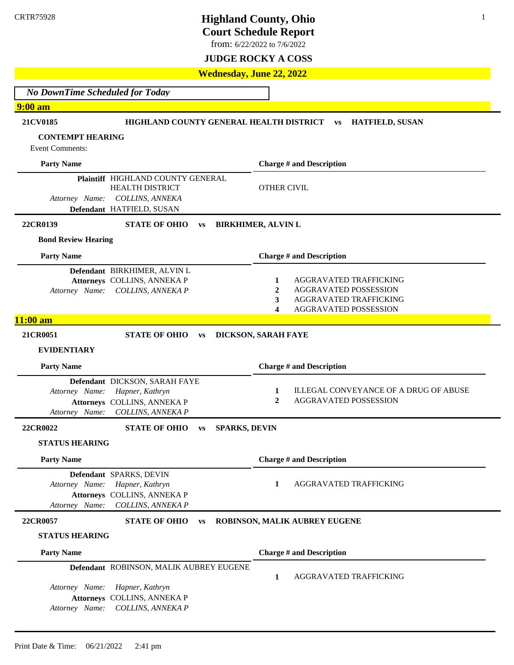**Court Schedule Report**

1

from: 6/22/2022 to 7/6/2022

### **JUDGE ROCKY A COSS**

**Wednesday, June 22, 2022**

*No DownTime Scheduled for Today*

### **9:00 am**

| 21CV0185                   | HIGHLAND COUNTY GENERAL HEALTH DISTRICT                     |           |                      | <b>HATFIELD, SUSAN</b><br><b>VS</b>                                                   |
|----------------------------|-------------------------------------------------------------|-----------|----------------------|---------------------------------------------------------------------------------------|
| <b>CONTEMPT HEARING</b>    |                                                             |           |                      |                                                                                       |
| <b>Event Comments:</b>     |                                                             |           |                      |                                                                                       |
| <b>Party Name</b>          |                                                             |           |                      | <b>Charge # and Description</b>                                                       |
|                            | Plaintiff HIGHLAND COUNTY GENERAL<br><b>HEALTH DISTRICT</b> |           |                      | <b>OTHER CIVIL</b>                                                                    |
| Attorney Name:             | <b>COLLINS, ANNEKA</b>                                      |           |                      |                                                                                       |
|                            | Defendant HATFIELD, SUSAN                                   |           |                      |                                                                                       |
| 22CR0139                   | <b>STATE OF OHIO</b>                                        | <b>VS</b> |                      | <b>BIRKHIMER, ALVIN L</b>                                                             |
| <b>Bond Review Hearing</b> |                                                             |           |                      |                                                                                       |
| <b>Party Name</b>          |                                                             |           |                      | <b>Charge # and Description</b>                                                       |
|                            | Defendant BIRKHIMER, ALVIN L                                |           |                      |                                                                                       |
| Attorney Name:             | Attorneys COLLINS, ANNEKA P<br>COLLINS, ANNEKA P            |           |                      | AGGRAVATED TRAFFICKING<br>1<br><b>AGGRAVATED POSSESSION</b><br>2                      |
|                            |                                                             |           |                      | 3<br>AGGRAVATED TRAFFICKING                                                           |
|                            |                                                             |           |                      | 4<br>AGGRAVATED POSSESSION                                                            |
| $11:00$ am                 |                                                             |           |                      |                                                                                       |
| 21CR0051                   | <b>STATE OF OHIO</b>                                        | <b>VS</b> |                      | DICKSON, SARAH FAYE                                                                   |
| <b>EVIDENTIARY</b>         |                                                             |           |                      |                                                                                       |
| <b>Party Name</b>          |                                                             |           |                      | <b>Charge # and Description</b>                                                       |
|                            | Defendant DICKSON, SARAH FAYE                               |           |                      |                                                                                       |
| Attorney Name:             | Hapner, Kathryn                                             |           |                      | ILLEGAL CONVEYANCE OF A DRUG OF ABUSE<br>1<br>AGGRAVATED POSSESSION<br>$\overline{2}$ |
| Attorney Name:             | Attorneys COLLINS, ANNEKA P<br>COLLINS, ANNEKA P            |           |                      |                                                                                       |
| 22CR0022                   | <b>STATE OF OHIO</b>                                        | <b>VS</b> | <b>SPARKS, DEVIN</b> |                                                                                       |
| <b>STATUS HEARING</b>      |                                                             |           |                      |                                                                                       |
| <b>Party Name</b>          |                                                             |           |                      | <b>Charge # and Description</b>                                                       |
|                            | Defendant SPARKS, DEVIN                                     |           |                      |                                                                                       |
| Attorney Name:             | Hapner, Kathryn                                             |           |                      | 1<br>AGGRAVATED TRAFFICKING                                                           |
| Attorney Name:             | Attorneys COLLINS, ANNEKA P<br>COLLINS, ANNEKA P            |           |                      |                                                                                       |
| 22CR0057                   | <b>STATE OF OHIO</b>                                        | <b>VS</b> |                      | ROBINSON, MALIK AUBREY EUGENE                                                         |
| <b>STATUS HEARING</b>      |                                                             |           |                      |                                                                                       |
| <b>Party Name</b>          |                                                             |           |                      | <b>Charge # and Description</b>                                                       |
|                            | Defendant ROBINSON, MALIK AUBREY EUGENE                     |           |                      | 1<br>AGGRAVATED TRAFFICKING                                                           |
| Attorney Name:             | Hapner, Kathryn                                             |           |                      |                                                                                       |
|                            | Attorneys COLLINS, ANNEKA P                                 |           |                      |                                                                                       |
| Attorney Name:             | COLLINS, ANNEKA P                                           |           |                      |                                                                                       |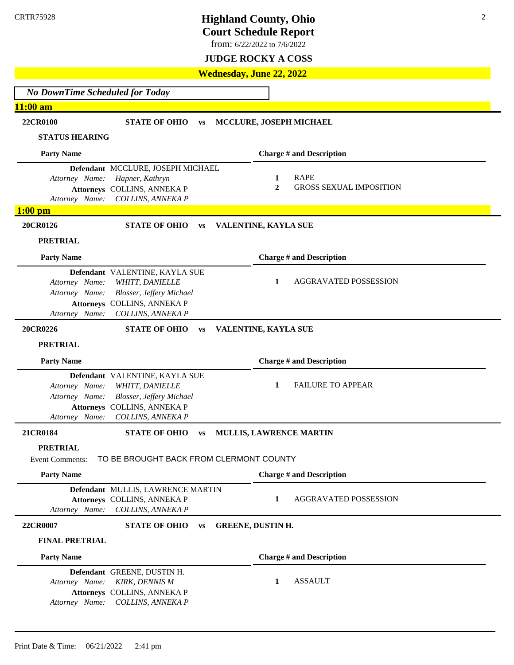**Court Schedule Report**

from: 6/22/2022 to 7/6/2022

### **JUDGE ROCKY A COSS**

**Wednesday, June 22, 2022**

*No DownTime Scheduled for Today* **11:00 am 22CR0100 STATE OF OHIO vs MCCLURE, JOSEPH MICHAEL STATUS HEARING Party Name Defendant** MCCLURE, JOSEPH MICHAEL *Attorney Name: Hapner, Kathryn*  **Attorneys** COLLINS, ANNEKA P *Attorney Name: COLLINS, ANNEKA P* **Charge # and Description 1** RAPE **2** GROSS SEXUAL IMPOSITION **1:00 pm 20CR0126 STATE OF OHIO vs VALENTINE, KAYLA SUE PRETRIAL Party Name Defendant** VALENTINE, KAYLA SUE *Attorney Name: WHITT, DANIELLE Attorney Name: Blosser, Jeffery Michael* **Attorneys** COLLINS, ANNEKA P *Attorney Name: COLLINS, ANNEKA P* **Charge # and Description 1** AGGRAVATED POSSESSION **20CR0226 STATE OF OHIO vs VALENTINE, KAYLA SUE PRETRIAL Party Name Defendant** VALENTINE, KAYLA SUE *Attorney Name: WHITT, DANIELLE Attorney Name: Blosser, Jeffery Michael* **Attorneys** COLLINS, ANNEKA P *Attorney Name: COLLINS, ANNEKA P* **Charge # and Description 1** FAILURE TO APPEAR **21CR0184 STATE OF OHIO vs MULLIS, LAWRENCE MARTIN PRETRIAL** Event Comments: TO BE BROUGHT BACK FROM CLERMONT COUNTY **Party Name Defendant** MULLIS, LAWRENCE MARTIN **Attorneys** COLLINS, ANNEKA P *Attorney Name: COLLINS, ANNEKA P* **Charge # and Description 1** AGGRAVATED POSSESSION **22CR0007 STATE OF OHIO vs GREENE, DUSTIN H. FINAL PRETRIAL Party Name Defendant** GREENE, DUSTIN H. *Attorney Name: KIRK, DENNIS M* **Attorneys** COLLINS, ANNEKA P *Attorney Name: COLLINS, ANNEKA P* **Charge # and Description 1** ASSAULT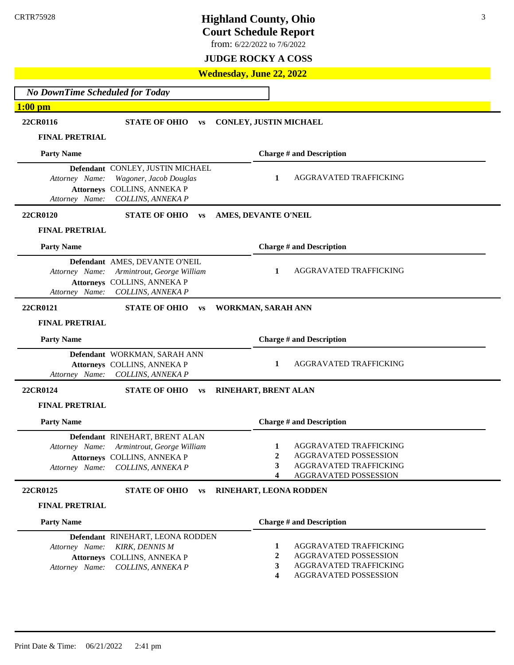**Court Schedule Report**

from: 6/22/2022 to 7/6/2022

### **JUDGE ROCKY A COSS**

### **Wednesday, June 22, 2022**

| <b>No DownTime Scheduled for Today</b> |                                                                                                                                 |                                                                                                                                              |
|----------------------------------------|---------------------------------------------------------------------------------------------------------------------------------|----------------------------------------------------------------------------------------------------------------------------------------------|
| $1:00$ pm                              |                                                                                                                                 |                                                                                                                                              |
| 22CR0116                               | <b>STATE OF OHIO</b><br><b>VS</b>                                                                                               | <b>CONLEY, JUSTIN MICHAEL</b>                                                                                                                |
| <b>FINAL PRETRIAL</b>                  |                                                                                                                                 |                                                                                                                                              |
| <b>Party Name</b>                      |                                                                                                                                 | <b>Charge # and Description</b>                                                                                                              |
| Attorney Name:<br>Attorney Name:       | Defendant CONLEY, JUSTIN MICHAEL<br>Wagoner, Jacob Douglas<br>Attorneys COLLINS, ANNEKA P<br>COLLINS, ANNEKA P                  | AGGRAVATED TRAFFICKING<br>1                                                                                                                  |
| 22CR0120                               | <b>STATE OF OHIO</b><br><b>VS</b>                                                                                               | AMES, DEVANTE O'NEIL                                                                                                                         |
| <b>FINAL PRETRIAL</b>                  |                                                                                                                                 |                                                                                                                                              |
| <b>Party Name</b>                      |                                                                                                                                 | <b>Charge # and Description</b>                                                                                                              |
| Attorney Name:<br>Attorney Name:       | Defendant AMES, DEVANTE O'NEIL<br>Armintrout, George William<br>Attorneys COLLINS, ANNEKA P<br>COLLINS, ANNEKA P                | AGGRAVATED TRAFFICKING<br>1                                                                                                                  |
| 22CR0121                               | <b>STATE OF OHIO</b><br><b>VS</b>                                                                                               | WORKMAN, SARAH ANN                                                                                                                           |
| <b>FINAL PRETRIAL</b>                  |                                                                                                                                 |                                                                                                                                              |
| <b>Party Name</b>                      |                                                                                                                                 | <b>Charge # and Description</b>                                                                                                              |
| Attorney Name:                         | Defendant WORKMAN, SARAH ANN<br>Attorneys COLLINS, ANNEKA P<br>COLLINS, ANNEKA P                                                | AGGRAVATED TRAFFICKING<br>1                                                                                                                  |
| 22CR0124                               | <b>STATE OF OHIO</b><br><b>VS</b>                                                                                               | RINEHART, BRENT ALAN                                                                                                                         |
| <b>FINAL PRETRIAL</b>                  |                                                                                                                                 |                                                                                                                                              |
| <b>Party Name</b>                      |                                                                                                                                 | <b>Charge # and Description</b>                                                                                                              |
| Attorney Name:                         | Defendant RINEHART, BRENT ALAN<br>Attorney Name: Armintrout, George William<br>Attorneys COLLINS, ANNEKA P<br>COLLINS, ANNEKA P | <b>AGGRAVATED TRAFFICKING</b><br>1<br>$\boldsymbol{2}$<br>AGGRAVATED POSSESSION<br>AGGRAVATED TRAFFICKING<br>3<br>AGGRAVATED POSSESSION<br>4 |
| 22CR0125                               | <b>STATE OF OHIO</b><br><b>VS</b>                                                                                               | RINEHART, LEONA RODDEN                                                                                                                       |
| <b>FINAL PRETRIAL</b>                  |                                                                                                                                 |                                                                                                                                              |
| <b>Party Name</b>                      |                                                                                                                                 | <b>Charge # and Description</b>                                                                                                              |
| Attorney Name:<br>Attorney Name:       | Defendant RINEHART, LEONA RODDEN<br><b>KIRK, DENNIS M</b><br>Attorneys COLLINS, ANNEKA P<br>COLLINS, ANNEKA P                   | AGGRAVATED TRAFFICKING<br>1<br>AGGRAVATED POSSESSION<br>$\mathbf{2}$<br>AGGRAVATED TRAFFICKING<br>3<br>AGGRAVATED POSSESSION<br>4            |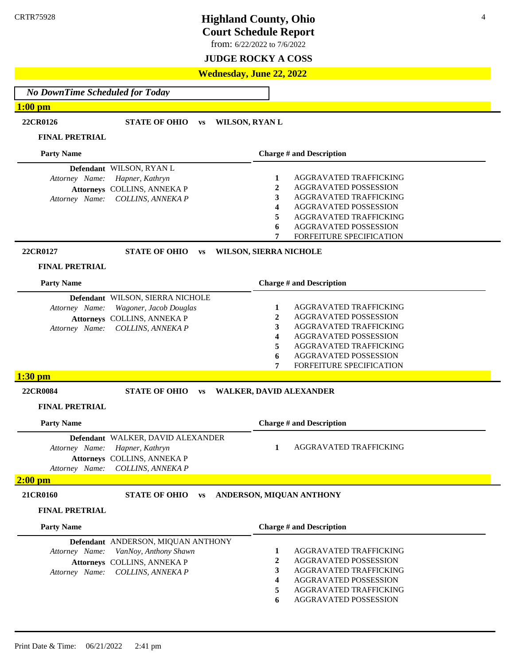**Court Schedule Report**

from: 6/22/2022 to 7/6/2022

### **JUDGE ROCKY A COSS**

### **Wednesday, June 22, 2022**

*No DownTime Scheduled for Today*

### **1:00 pm**

**22CR0126 STATE OF OHIO vs WILSON, RYAN L**

#### **FINAL PRETRIAL**

| <b>Party Name</b>                                                                                                                    | <b>Charge # and Description</b>                                                                                                                                                             |  |
|--------------------------------------------------------------------------------------------------------------------------------------|---------------------------------------------------------------------------------------------------------------------------------------------------------------------------------------------|--|
| <b>Defendant</b> WILSON, RYAN L<br>Attorney Name: Hapner, Kathryn<br>Attorneys COLLINS, ANNEKA P<br>Attorney Name: COLLINS, ANNEKA P | AGGRAVATED TRAFFICKING<br>AGGRAVATED POSSESSION<br>AGGRAVATED TRAFFICKING<br>AGGRAVATED POSSESSION<br>4<br>AGGRAVATED TRAFFICKING<br>AGGRAVATED POSSESSION<br>6<br>FORFEITURE SPECIFICATION |  |

**22CR0127 STATE OF OHIO vs WILSON, SIERRA NICHOLE**

#### **FINAL PRETRIAL**

| <b>Party Name</b>                                                                                                                            | <b>Charge # and Description</b>                                                                                                                                                                         |
|----------------------------------------------------------------------------------------------------------------------------------------------|---------------------------------------------------------------------------------------------------------------------------------------------------------------------------------------------------------|
| Defendant WILSON, SIERRA NICHOLE<br>Attorney Name: Wagoner, Jacob Douglas<br>Attorneys COLLINS, ANNEKA P<br>Attorney Name: COLLINS, ANNEKA P | AGGRAVATED TRAFFICKING<br>AGGRAVATED POSSESSION<br>AGGRAVATED TRAFFICKING<br>AGGRAVATED POSSESSION<br>4<br>AGGRAVATED TRAFFICKING<br>AGGRAVATED POSSESSION<br>6<br>7<br><b>FORFEITURE SPECIFICATION</b> |
| $1:30$ pm                                                                                                                                    |                                                                                                                                                                                                         |

### **22CR0084 STATE OF OHIO vs WALKER, DAVID ALEXANDER**

**FINAL PRETRIAL**

| <b>Party Name</b>                         |                                                                                                                         | <b>Charge # and Description</b> |
|-------------------------------------------|-------------------------------------------------------------------------------------------------------------------------|---------------------------------|
| Attorney Name:                            | Defendant WALKER, DAVID ALEXANDER<br>Hapner, Kathryn<br>Attorneys COLLINS, ANNEKA P<br>Attorney Name: COLLINS, ANNEKA P | AGGRAVATED TRAFFICKING          |
| $2:00~\mathrm{pm}$                        |                                                                                                                         |                                 |
| 21CR0160                                  | <b>STATE OF OHIO</b><br><b>VS</b>                                                                                       | ANDERSON, MIQUAN ANTHONY        |
| <b>FINAL PRETRIAL</b>                     |                                                                                                                         |                                 |
| <b>Party Name</b>                         |                                                                                                                         | <b>Charge # and Description</b> |
| <b>Defendant</b> ANDERSON, MIQUAN ANTHONY |                                                                                                                         |                                 |

**4** AGGRAVATED POSSESSION **5** AGGRAVATED TRAFFICKING **6** AGGRAVATED POSSESSION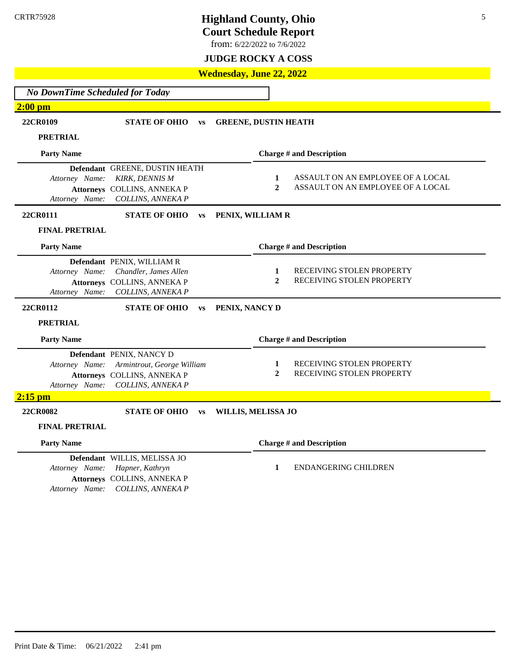**Court Schedule Report**

from: 6/22/2022 to 7/6/2022

### **JUDGE ROCKY A COSS**

### **Wednesday, June 22, 2022**

*No DownTime Scheduled for Today* **2:00 pm 22CR0109 STATE OF OHIO vs GREENE, DUSTIN HEATH PRETRIAL Party Name Defendant** GREENE, DUSTIN HEATH *Attorney Name: KIRK, DENNIS M* **Attorneys** COLLINS, ANNEKA P *Attorney Name: COLLINS, ANNEKA P* **Charge # and Description 1** ASSAULT ON AN EMPLOYEE OF A LOCAL 2 ASSAULT ON AN EMPLOYEE OF A LOCAL **22CR0111 STATE OF OHIO vs PENIX, WILLIAM R FINAL PRETRIAL Party Name Defendant** PENIX, WILLIAM R *Attorney Name: Chandler, James Allen* **Attorneys** COLLINS, ANNEKA P *Attorney Name: COLLINS, ANNEKA P* **Charge # and Description 1** RECEIVING STOLEN PROPERTY **2** RECEIVING STOLEN PROPERTY **22CR0112 STATE OF OHIO vs PENIX, NANCY D PRETRIAL Party Name Defendant** PENIX, NANCY D *Attorney Name: Armintrout, George William* **Attorneys** COLLINS, ANNEKA P *Attorney Name: COLLINS, ANNEKA P* **Charge # and Description 1** RECEIVING STOLEN PROPERTY **2** RECEIVING STOLEN PROPERTY **2:15 pm 22CR0082 STATE OF OHIO vs WILLIS, MELISSA JO FINAL PRETRIAL Party Name Defendant** WILLIS, MELISSA JO *Attorney Name: Hapner, Kathryn*  **Attorneys** COLLINS, ANNEKA P *Attorney Name: COLLINS, ANNEKA P* **Charge # and Description 1** ENDANGERING CHILDREN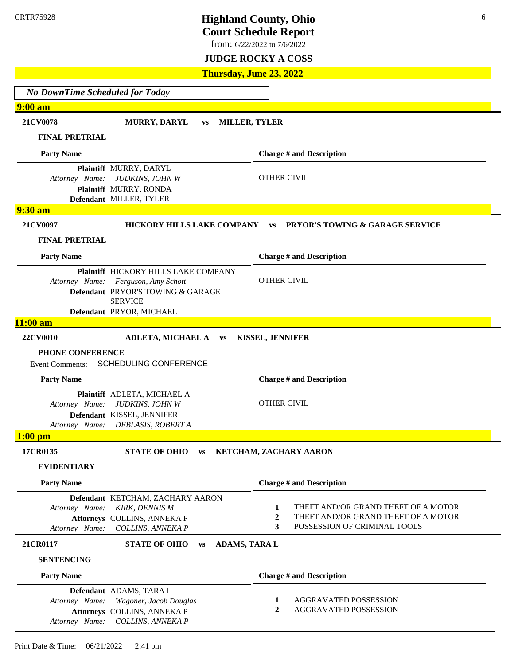**Court Schedule Report**

from: 6/22/2022 to 7/6/2022

### **JUDGE ROCKY A COSS**

**Thursday, June 23, 2022**

*No DownTime Scheduled for Today* **9:00 am 21CV0078 MURRY, DARYL vs MILLER, TYLER FINAL PRETRIAL Party Name Plaintiff** MURRY, DARYL *Attorney Name: JUDKINS, JOHN W* **Plaintiff** MURRY, RONDA **Defendant** MILLER, TYLER **Charge # and Description** OTHER CIVIL **9:30 am 21CV0097 HICKORY HILLS LAKE COMPANY vs PRYOR'S TOWING & GARAGE SERVICE FINAL PRETRIAL Party Name Plaintiff** HICKORY HILLS LAKE COMPANY *Attorney Name: Ferguson, Amy Schott* Defendant PRYOR'S TOWING & GARAGE SERVICE **Defendant** PRYOR, MICHAEL **Charge # and Description** OTHER CIVIL **11:00 am 22CV0010 ADLETA, MICHAEL A vs KISSEL, JENNIFER PHONE CONFERENCE** Event Comments: SCHEDULING CONFERENCE **Party Name Plaintiff** ADLETA, MICHAEL A *Attorney Name: JUDKINS, JOHN W* **Defendant** KISSEL, JENNIFER *Attorney Name: DEBLASIS, ROBERT A* **Charge # and Description** OTHER CIVIL **1:00 pm 17CR0135 STATE OF OHIO vs KETCHAM, ZACHARY AARON EVIDENTIARY Party Name Defendant** KETCHAM, ZACHARY AARON *Attorney Name: KIRK, DENNIS M* **Attorneys** COLLINS, ANNEKA P *Attorney Name: COLLINS, ANNEKA P* **Charge # and Description 1** THEFT AND/OR GRAND THEFT OF A MOTOR 2 THEFT AND/OR GRAND THEFT OF A MOTOR **3** POSSESSION OF CRIMINAL TOOLS **21CR0117 STATE OF OHIO vs ADAMS, TARA L SENTENCING Party Name Defendant** ADAMS, TARA L *Attorney Name: Wagoner, Jacob Douglas* **Attorneys** COLLINS, ANNEKA P *Attorney Name: COLLINS, ANNEKA P* **Charge # and Description 1** AGGRAVATED POSSESSION **2** AGGRAVATED POSSESSION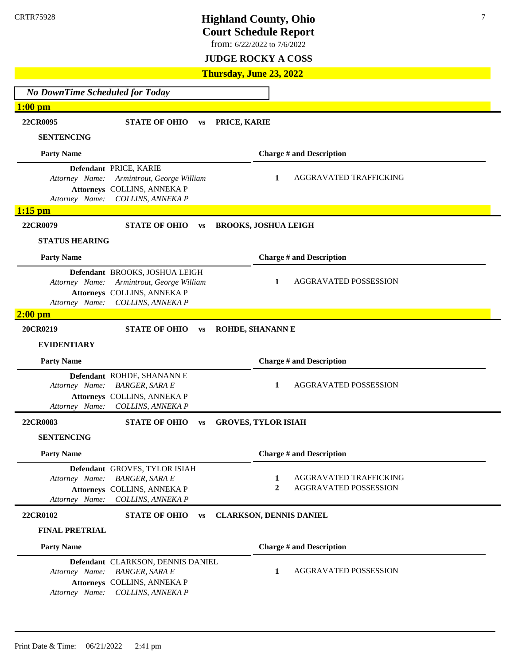**Court Schedule Report**

from: 6/22/2022 to 7/6/2022

### **JUDGE ROCKY A COSS**

**Thursday, June 23, 2022**

*No DownTime Scheduled for Today* **1:00 pm 22CR0095 STATE OF OHIO vs PRICE, KARIE SENTENCING Party Name Defendant** PRICE, KARIE *Attorney Name: Armintrout, George William* **Attorneys** COLLINS, ANNEKA P *Attorney Name: COLLINS, ANNEKA P* **Charge # and Description 1** AGGRAVATED TRAFFICKING **1:15 pm 22CR0079 STATE OF OHIO vs BROOKS, JOSHUA LEIGH STATUS HEARING Party Name Defendant** BROOKS, JOSHUA LEIGH *Attorney Name: Armintrout, George William* **Attorneys** COLLINS, ANNEKA P *Attorney Name: COLLINS, ANNEKA P* **Charge # and Description 1** AGGRAVATED POSSESSION **2:00 pm 20CR0219 STATE OF OHIO vs ROHDE, SHANANN E EVIDENTIARY Party Name Defendant** ROHDE, SHANANN E *Attorney Name: BARGER, SARA E* **Attorneys** COLLINS, ANNEKA P *Attorney Name: COLLINS, ANNEKA P* **Charge # and Description 1** AGGRAVATED POSSESSION **22CR0083 STATE OF OHIO vs GROVES, TYLOR ISIAH SENTENCING Party Name Defendant** GROVES, TYLOR ISIAH *Attorney Name: BARGER, SARA E* **Attorneys** COLLINS, ANNEKA P *Attorney Name: COLLINS, ANNEKA P* **Charge # and Description 1** AGGRAVATED TRAFFICKING **2** AGGRAVATED POSSESSION **22CR0102 STATE OF OHIO vs CLARKSON, DENNIS DANIEL FINAL PRETRIAL Party Name Defendant** CLARKSON, DENNIS DANIEL *Attorney Name: BARGER, SARA E* **Attorneys** COLLINS, ANNEKA P *Attorney Name: COLLINS, ANNEKA P* **Charge # and Description 1** AGGRAVATED POSSESSION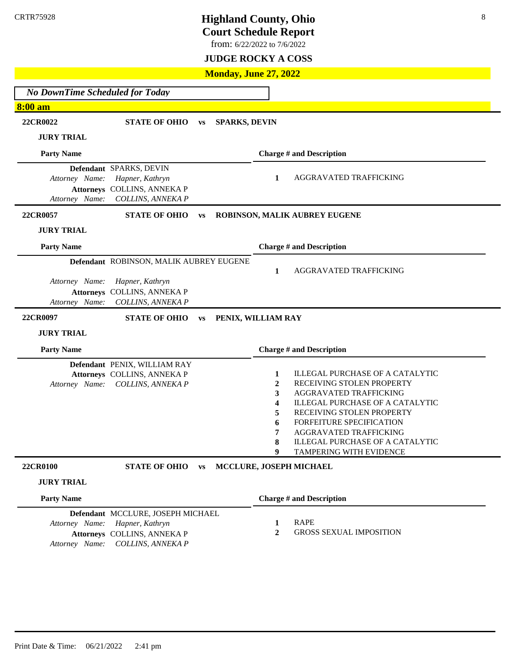**Court Schedule Report**

from: 6/22/2022 to 7/6/2022

**JUDGE ROCKY A COSS**

### **Monday, June 27, 2022**

| <b>No DownTime Scheduled for Today</b> |                                                  |           |                         |              |                                                       |
|----------------------------------------|--------------------------------------------------|-----------|-------------------------|--------------|-------------------------------------------------------|
| <b>8:00 am</b>                         |                                                  |           |                         |              |                                                       |
|                                        |                                                  |           |                         |              |                                                       |
| 22CR0022                               | <b>STATE OF OHIO</b>                             | <b>VS</b> | <b>SPARKS, DEVIN</b>    |              |                                                       |
| <b>JURY TRIAL</b>                      |                                                  |           |                         |              |                                                       |
| <b>Party Name</b>                      |                                                  |           |                         |              | <b>Charge # and Description</b>                       |
|                                        | Defendant SPARKS, DEVIN                          |           |                         |              |                                                       |
| Attorney Name:                         | Hapner, Kathryn                                  |           |                         | 1            | AGGRAVATED TRAFFICKING                                |
| Attorney Name:                         | Attorneys COLLINS, ANNEKA P<br>COLLINS, ANNEKA P |           |                         |              |                                                       |
| 22CR0057                               | <b>STATE OF OHIO</b>                             | <b>VS</b> |                         |              | ROBINSON, MALIK AUBREY EUGENE                         |
| <b>JURY TRIAL</b>                      |                                                  |           |                         |              |                                                       |
|                                        |                                                  |           |                         |              |                                                       |
| <b>Party Name</b>                      |                                                  |           |                         |              | <b>Charge # and Description</b>                       |
|                                        | Defendant ROBINSON, MALIK AUBREY EUGENE          |           |                         |              |                                                       |
|                                        |                                                  |           |                         | 1            | AGGRAVATED TRAFFICKING                                |
| Attorney Name:                         | Hapner, Kathryn<br>Attorneys COLLINS, ANNEKA P   |           |                         |              |                                                       |
| Attorney Name:                         | COLLINS, ANNEKA P                                |           |                         |              |                                                       |
|                                        |                                                  |           |                         |              |                                                       |
| 22CR0097                               | <b>STATE OF OHIO</b>                             | <b>VS</b> |                         |              |                                                       |
|                                        |                                                  |           | PENIX, WILLIAM RAY      |              |                                                       |
| <b>JURY TRIAL</b>                      |                                                  |           |                         |              |                                                       |
| <b>Party Name</b>                      |                                                  |           |                         |              | <b>Charge # and Description</b>                       |
|                                        | Defendant PENIX, WILLIAM RAY                     |           |                         |              |                                                       |
|                                        | Attorneys COLLINS, ANNEKA P                      |           |                         | 1            | <b>ILLEGAL PURCHASE OF A CATALYTIC</b>                |
| Attorney Name:                         | COLLINS, ANNEKA P                                |           |                         | 2            | RECEIVING STOLEN PROPERTY                             |
|                                        |                                                  |           |                         | 3            | AGGRAVATED TRAFFICKING                                |
|                                        |                                                  |           |                         | 4            | <b>ILLEGAL PURCHASE OF A CATALYTIC</b>                |
|                                        |                                                  |           |                         | 5<br>6       | RECEIVING STOLEN PROPERTY<br>FORFEITURE SPECIFICATION |
|                                        |                                                  |           |                         | 7            | <b>AGGRAVATED TRAFFICKING</b>                         |
|                                        |                                                  |           |                         | 8            | <b>ILLEGAL PURCHASE OF A CATALYTIC</b>                |
|                                        |                                                  |           |                         | 9            | TAMPERING WITH EVIDENCE                               |
| 22CR0100                               | <b>STATE OF OHIO</b>                             | <b>VS</b> | MCCLURE, JOSEPH MICHAEL |              |                                                       |
| <b>JURY TRIAL</b>                      |                                                  |           |                         |              |                                                       |
| <b>Party Name</b>                      |                                                  |           |                         |              | <b>Charge # and Description</b>                       |
|                                        | Defendant MCCLURE, JOSEPH MICHAEL                |           |                         |              |                                                       |
| Attorney Name:                         | Hapner, Kathryn                                  |           |                         | 1            | <b>RAPE</b>                                           |
| Attorney Name:                         | Attorneys COLLINS, ANNEKA P<br>COLLINS, ANNEKA P |           |                         | $\mathbf{2}$ | <b>GROSS SEXUAL IMPOSITION</b>                        |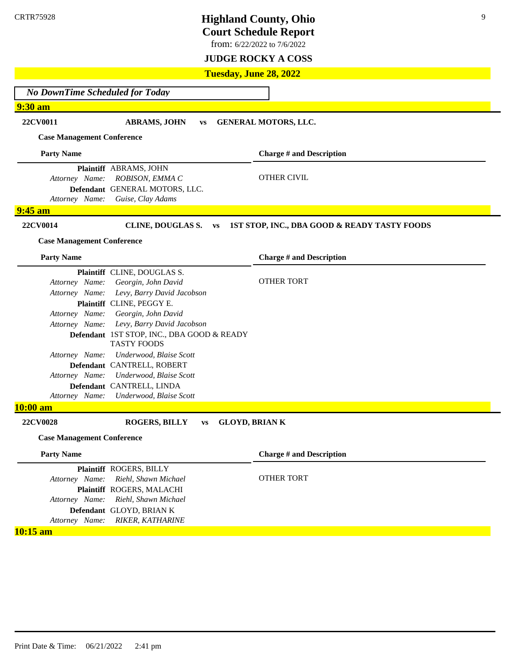**Court Schedule Report**

from: 6/22/2022 to 7/6/2022

**JUDGE ROCKY A COSS**

**Tuesday, June 28, 2022**

*No DownTime Scheduled for Today*

**9:30 am**

**22CV0011 ABRAMS, JOHN vs GENERAL MOTORS, LLC.**

**Case Management Conference**

**Party Name Plaintiff** ABRAMS, JOHN *Attorney Name: ROBISON, EMMA C* **Defendant** GENERAL MOTORS, LLC. *Attorney Name: Guise, Clay Adams* **Charge # and Description** OTHER CIVIL **9:45 am**

**22CV0014 CLINE, DOUGLAS S. vs 1ST STOP, INC., DBA GOOD & READY TASTY FOODS**

#### **Case Management Conference**

**Party Name Plaintiff** CLINE, DOUGLAS S. *Attorney Name: Georgin, John David Attorney Name: Levy, Barry David Jacobson* **Plaintiff** CLINE, PEGGY E. *Attorney Name: Georgin, John David Attorney Name: Levy, Barry David Jacobson* Defendant 1ST STOP, INC., DBA GOOD & READY TASTY FOODS *Attorney Name: Underwood, Blaise Scott* **Defendant** CANTRELL, ROBERT *Attorney Name: Underwood, Blaise Scott* **Defendant** CANTRELL, LINDA *Attorney Name: Underwood, Blaise Scott* **Charge # and Description** OTHER TORT **10:00 am 22CV0028 ROGERS, BILLY vs GLOYD, BRIAN K Case Management Conference Party Name Plaintiff** ROGERS, BILLY *Attorney Name: Riehl, Shawn Michael* **Plaintiff** ROGERS, MALACHI *Attorney Name: Riehl, Shawn Michael* **Defendant** GLOYD, BRIAN K *Attorney Name: RIKER, KATHARINE*  **Charge # and Description** OTHER TORT

**10:15 am**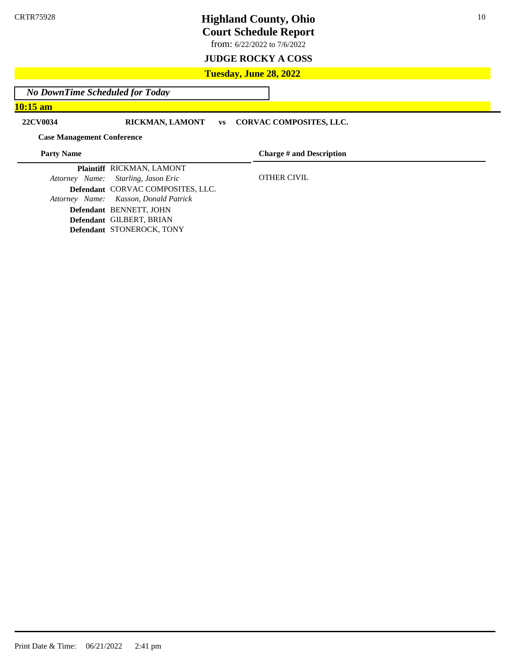**Court Schedule Report**

from: 6/22/2022 to 7/6/2022

### **JUDGE ROCKY A COSS**

### **Tuesday, June 28, 2022**

*No DownTime Scheduled for Today*

**10:15 am**

**22CV0034 RICKMAN, LAMONT vs CORVAC COMPOSITES, LLC.**

#### **Case Management Conference**

**Party Name**

**Charge # and Description**

OTHER CIVIL

**Plaintiff** RICKMAN, LAMONT *Attorney Name: Starling, Jason Eric* **Defendant** CORVAC COMPOSITES, LLC. *Attorney Name: Kasson, Donald Patrick* **Defendant** BENNETT, JOHN **Defendant** GILBERT, BRIAN **Defendant** STONEROCK, TONY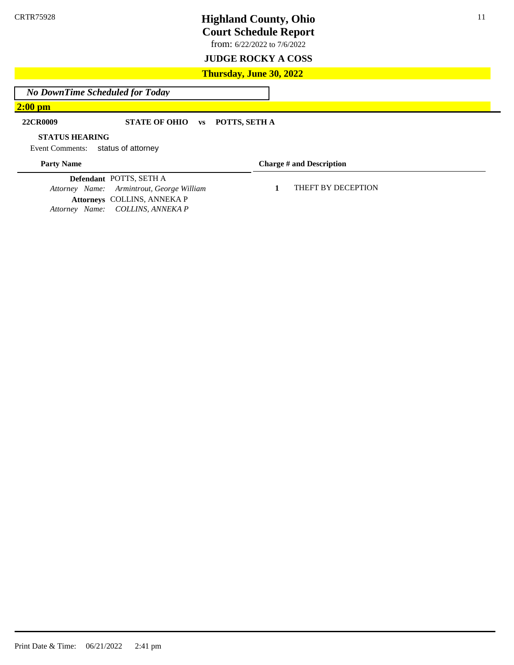**Court Schedule Report**

from: 6/22/2022 to 7/6/2022

### **JUDGE ROCKY A COSS**

### **Thursday, June 30, 2022**

*No DownTime Scheduled for Today*

### **2:00 pm**

### **22CR0009 STATE OF OHIO vs POTTS, SETH A**

#### **STATUS HEARING**

Event Comments: status of attorney

### **Party Name**

**Charge # and Description**

**Defendant** POTTS, SETH A *Attorney Name: Armintrout, George William* **Attorneys** COLLINS, ANNEKA P *Attorney Name: COLLINS, ANNEKA P*

**1** THEFT BY DECEPTION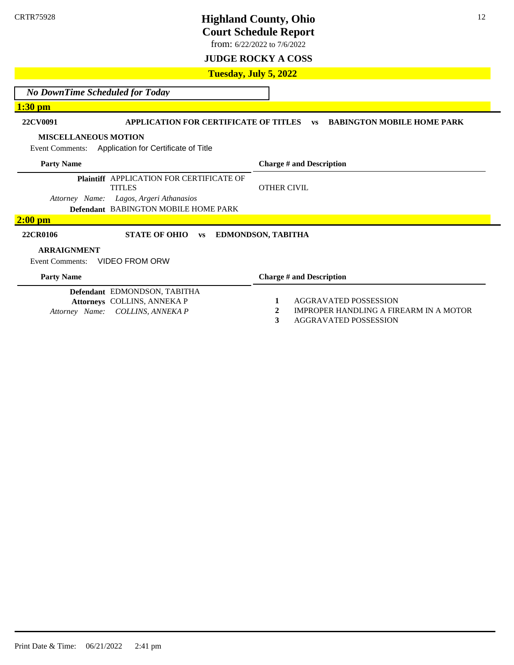**Court Schedule Report**

from: 6/22/2022 to 7/6/2022

**JUDGE ROCKY A COSS**

**Tuesday, July 5, 2022**

*No DownTime Scheduled for Today*

**1:30 pm**

### **22CV0091 APPLICATION FOR CERTIFICATE OF TITLES vs BABINGTON MOBILE HOME PARK**

#### **MISCELLANEOUS MOTION**

Event Comments: Application for Certificate of Title

| <b>Party Name</b>                                                | <b>Charge # and Description</b> |
|------------------------------------------------------------------|---------------------------------|
| <b>Plaintiff APPLICATION FOR CERTIFICATE OF</b><br><b>TITLES</b> | <b>OTHER CIVIL</b>              |
| Attorney Name: Lagos, Argeri Athanasios                          |                                 |
| <b>Defendant BABINGTON MOBILE HOME PARK</b>                      |                                 |
| $2:00$ pm                                                        |                                 |
| 22CR0106<br><b>STATE OF OHIO</b><br><b>VS</b>                    | <b>EDMONDSON, TABITHA</b>       |
| <b>ARRAIGNMENT</b>                                               |                                 |
| VIDEO FROM ORW<br>Event Comments:                                |                                 |
| <b>Party Name</b>                                                | <b>Charge # and Description</b> |
| Defendant EDMONDSON, TABITHA                                     |                                 |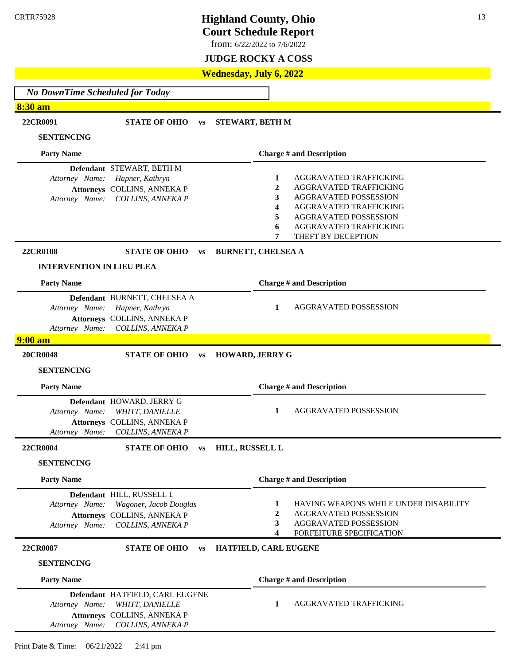**Court Schedule Report**

from: 6/22/2022 to 7/6/2022

### **JUDGE ROCKY A COSS**

### **Wednesday, July 6, 2022**

*No DownTime Scheduled for Today* **8:30 am 22CR0091 STATE OF OHIO vs STEWART, BETH M SENTENCING Party Name Defendant** STEWART, BETH M *Attorney Name: Hapner, Kathryn*  **Attorneys** COLLINS, ANNEKA P *Attorney Name: COLLINS, ANNEKA P* **Charge # and Description 1** AGGRAVATED TRAFFICKING **2** AGGRAVATED TRAFFICKING **3** AGGRAVATED POSSESSION **4** AGGRAVATED TRAFFICKING **5** AGGRAVATED POSSESSION **6** AGGRAVATED TRAFFICKING **7** THEFT BY DECEPTION **22CR0108 STATE OF OHIO vs BURNETT, CHELSEA A INTERVENTION IN LIEU PLEA Party Name Defendant** BURNETT, CHELSEA A *Attorney Name: Hapner, Kathryn*  **Attorneys** COLLINS, ANNEKA P *Attorney Name: COLLINS, ANNEKA P* **Charge # and Description 1** AGGRAVATED POSSESSION **9:00 am 20CR0048 STATE OF OHIO vs HOWARD, JERRY G SENTENCING Party Name Defendant** HOWARD, JERRY G *Attorney Name: WHITT, DANIELLE*  **Attorneys** COLLINS, ANNEKA P *Attorney Name: COLLINS, ANNEKA P* **Charge # and Description 1** AGGRAVATED POSSESSION **22CR0004 STATE OF OHIO vs HILL, RUSSELL L SENTENCING Party Name Defendant** HILL, RUSSELL L *Attorney Name: Wagoner, Jacob Douglas* **Attorneys** COLLINS, ANNEKA P *Attorney Name: COLLINS, ANNEKA P* **Charge # and Description 1** HAVING WEAPONS WHILE UNDER DISABILITY **2** AGGRAVATED POSSESSION **3** AGGRAVATED POSSESSION **4** FORFEITURE SPECIFICATION **22CR0087 STATE OF OHIO vs HATFIELD, CARL EUGENE SENTENCING Party Name Defendant** HATFIELD, CARL EUGENE *Attorney Name: WHITT, DANIELLE*  **Attorneys** COLLINS, ANNEKA P *Attorney Name: COLLINS, ANNEKA P* **Charge # and Description 1** AGGRAVATED TRAFFICKING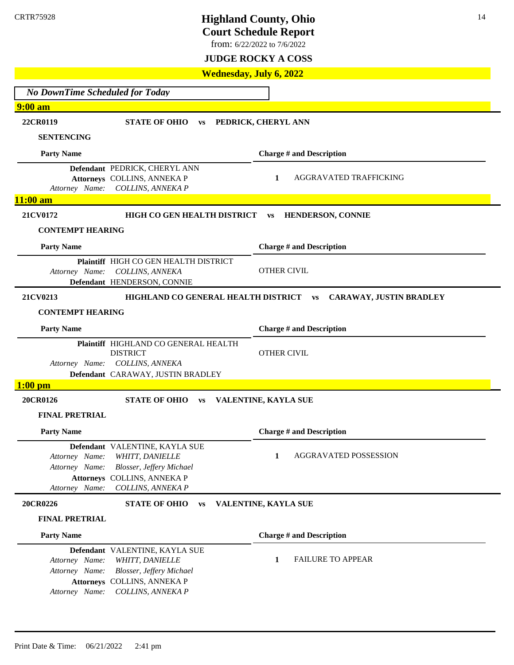**Court Schedule Report**

from: 6/22/2022 to 7/6/2022

### **JUDGE ROCKY A COSS**

### **Wednesday, July 6, 2022**

| <b>No DownTime Scheduled for Today</b>                                 |                                                                                                                                              |                                      |  |  |
|------------------------------------------------------------------------|----------------------------------------------------------------------------------------------------------------------------------------------|--------------------------------------|--|--|
| <b>9:00 am</b>                                                         |                                                                                                                                              |                                      |  |  |
| 22CR0119                                                               | <b>STATE OF OHIO</b><br><b>VS</b>                                                                                                            | PEDRICK, CHERYL ANN                  |  |  |
| <b>SENTENCING</b>                                                      |                                                                                                                                              |                                      |  |  |
| <b>Party Name</b>                                                      |                                                                                                                                              | <b>Charge # and Description</b>      |  |  |
| Attorney Name:                                                         | Defendant PEDRICK, CHERYL ANN<br>Attorneys COLLINS, ANNEKA P<br>COLLINS, ANNEKA P                                                            | 1<br>AGGRAVATED TRAFFICKING          |  |  |
| $11:00$ am                                                             |                                                                                                                                              |                                      |  |  |
| 21CV0172                                                               | HIGH CO GEN HEALTH DISTRICT                                                                                                                  | HENDERSON, CONNIE<br><b>VS</b>       |  |  |
| <b>CONTEMPT HEARING</b>                                                |                                                                                                                                              |                                      |  |  |
| <b>Party Name</b>                                                      |                                                                                                                                              | <b>Charge # and Description</b>      |  |  |
| Attorney Name:                                                         | Plaintiff HIGH CO GEN HEALTH DISTRICT<br>COLLINS, ANNEKA<br>Defendant HENDERSON, CONNIE                                                      | <b>OTHER CIVIL</b>                   |  |  |
| 21CV0213                                                               | HIGHLAND CO GENERAL HEALTH DISTRICT                                                                                                          | CARAWAY, JUSTIN BRADLEY<br><b>VS</b> |  |  |
| <b>CONTEMPT HEARING</b>                                                |                                                                                                                                              |                                      |  |  |
| <b>Party Name</b>                                                      |                                                                                                                                              | <b>Charge # and Description</b>      |  |  |
|                                                                        | Plaintiff HIGHLAND CO GENERAL HEALTH<br><b>DISTRICT</b><br>Attorney Name: COLLINS, ANNEKA<br>Defendant CARAWAY, JUSTIN BRADLEY               | <b>OTHER CIVIL</b>                   |  |  |
| $1:00$ pm                                                              |                                                                                                                                              |                                      |  |  |
| 20CR0126                                                               | <b>STATE OF OHIO</b><br><b>VS</b>                                                                                                            | VALENTINE, KAYLA SUE                 |  |  |
| <b>FINAL PRETRIAL</b>                                                  |                                                                                                                                              |                                      |  |  |
| <b>Party Name</b>                                                      |                                                                                                                                              | <b>Charge # and Description</b>      |  |  |
| Attorney Name:<br>Attorney Name:<br><b>Attorneys</b><br>Attorney Name: | Defendant VALENTINE, KAYLA SUE<br><b>WHITT, DANIELLE</b><br><b>Blosser, Jeffery Michael</b><br><b>COLLINS, ANNEKA P</b><br>COLLINS, ANNEKA P | <b>AGGRAVATED POSSESSION</b><br>1    |  |  |
| 20CR0226                                                               | <b>STATE OF OHIO</b><br><b>VS</b>                                                                                                            | VALENTINE, KAYLA SUE                 |  |  |
| <b>FINAL PRETRIAL</b>                                                  |                                                                                                                                              |                                      |  |  |
| <b>Party Name</b>                                                      |                                                                                                                                              | <b>Charge # and Description</b>      |  |  |
| Attorney Name:<br>Attorney Name:<br>Attorney Name:                     | Defendant VALENTINE, KAYLA SUE<br>WHITT, DANIELLE<br><b>Blosser, Jeffery Michael</b><br>Attorneys COLLINS, ANNEKA P<br>COLLINS, ANNEKA P     | <b>FAILURE TO APPEAR</b><br>1        |  |  |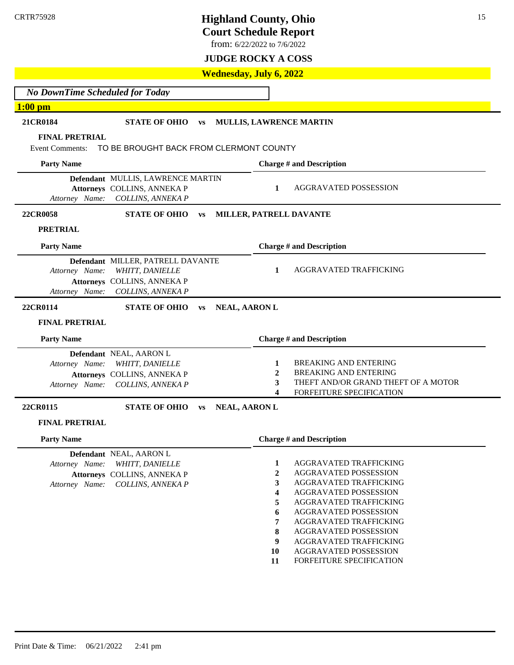from: 6/22/2022 to 7/6/2022

**JUDGE ROCKY A COSS**

### **Wednesday, July 6, 2022**

*No DownTime Scheduled for Today* **1:00 pm 21CR0184 STATE OF OHIO vs MULLIS, LAWRENCE MARTIN FINAL PRETRIAL**

Event Comments: TO BE BROUGHT BACK FROM CLERMONT COUNTY

| Event Comments:                  | TO BE BROUGHT BACK FROM CLERMONT COUNT B                                                                 |           |                      |                  |                                                                                                                                 |
|----------------------------------|----------------------------------------------------------------------------------------------------------|-----------|----------------------|------------------|---------------------------------------------------------------------------------------------------------------------------------|
| <b>Party Name</b>                |                                                                                                          |           |                      |                  | <b>Charge # and Description</b>                                                                                                 |
| Attorney Name:                   | Defendant MULLIS, LAWRENCE MARTIN<br>Attorneys COLLINS, ANNEKA P<br>COLLINS, ANNEKA P                    |           |                      | 1                | <b>AGGRAVATED POSSESSION</b>                                                                                                    |
| 22CR0058                         | <b>STATE OF OHIO</b>                                                                                     | <b>VS</b> |                      |                  | MILLER, PATRELL DAVANTE                                                                                                         |
| <b>PRETRIAL</b>                  |                                                                                                          |           |                      |                  |                                                                                                                                 |
| <b>Party Name</b>                |                                                                                                          |           |                      |                  | <b>Charge # and Description</b>                                                                                                 |
| Attorney Name:<br>Attorney Name: | Defendant MILLER, PATRELL DAVANTE<br>WHITT, DANIELLE<br>Attorneys COLLINS, ANNEKA P<br>COLLINS, ANNEKA P |           |                      | 1                | AGGRAVATED TRAFFICKING                                                                                                          |
| 22CR0114                         | <b>STATE OF OHIO</b>                                                                                     | <b>VS</b> | <b>NEAL, AARON L</b> |                  |                                                                                                                                 |
| <b>FINAL PRETRIAL</b>            |                                                                                                          |           |                      |                  |                                                                                                                                 |
| <b>Party Name</b>                |                                                                                                          |           |                      |                  | <b>Charge # and Description</b>                                                                                                 |
| Attorney Name:<br>Attorney Name: | Defendant NEAL, AARON L<br>WHITT, DANIELLE<br>Attorneys COLLINS, ANNEKA P<br>COLLINS, ANNEKA P           |           |                      | 1<br>2<br>3<br>4 | <b>BREAKING AND ENTERING</b><br><b>BREAKING AND ENTERING</b><br>THEFT AND/OR GRAND THEFT OF A MOTOR<br>FORFEITURE SPECIFICATION |
| 22CR0115                         | <b>STATE OF OHIO</b>                                                                                     | <b>VS</b> | <b>NEAL, AARON L</b> |                  |                                                                                                                                 |
| <b>FINAL PRETRIAL</b>            |                                                                                                          |           |                      |                  |                                                                                                                                 |
| <b>Party Name</b>                |                                                                                                          |           |                      |                  | <b>Charge # and Description</b>                                                                                                 |
| Attorney Name:<br>Attorney Name: | Defendant NEAL, AARON L<br>WHITT, DANIELLE<br>Attorneys COLLINS, ANNEKA P<br>COLLINS, ANNEKA P           |           |                      | 1<br>2<br>3<br>4 | AGGRAVATED TRAFFICKING<br>AGGRAVATED POSSESSION<br>AGGRAVATED TRAFFICKING<br>AGGRAVATED POSSESSION                              |

- **5** AGGRAVATED TRAFFICKING
- **6** AGGRAVATED POSSESSION
- **7** AGGRAVATED TRAFFICKING
- **8** AGGRAVATED POSSESSION
- **9** AGGRAVATED TRAFFICKING
- **10** AGGRAVATED POSSESSION
- **11** FORFEITURE SPECIFICATION